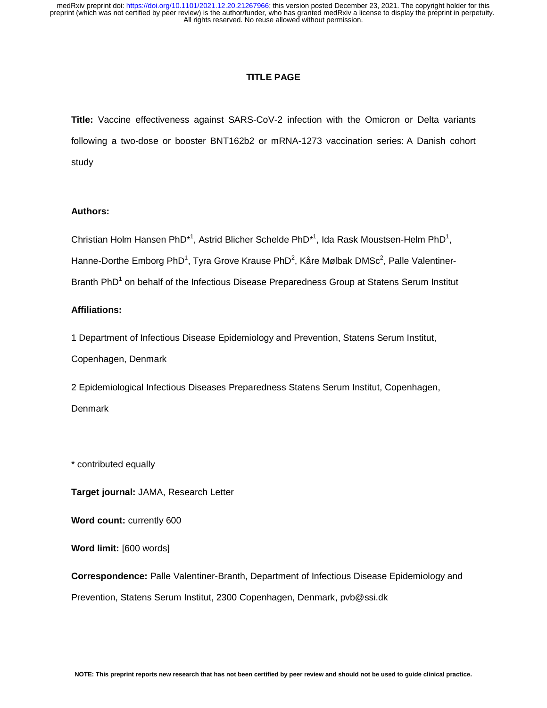### **TITLE PAGE**

**Title:** Vaccine effectiveness against SARS-CoV-2 infection with the Omicron or Delta variants following a two-dose or booster BNT162b2 or mRNA-1273 vaccination series: A Danish cohort study

# **Authors:**

Christian Holm Hansen PhD<sup>\*1</sup>, Astrid Blicher Schelde PhD<sup>\*1</sup>, Ida Rask Moustsen-Helm PhD<sup>1</sup>, Hanne-Dorthe Emborg PhD<sup>1</sup>, Tyra Grove Krause PhD<sup>2</sup>, Kåre Mølbak DMSc<sup>2</sup>, Palle Valentiner-Branth PhD<sup>1</sup> on behalf of the Infectious Disease Preparedness Group at Statens Serum Institut

# **Affiliations:**

1 Department of Infectious Disease Epidemiology and Prevention, Statens Serum Institut, Copenhagen, Denmark

2 Epidemiological Infectious Diseases Preparedness Statens Serum Institut, Copenhagen, **Denmark** 

\* contributed equally

**Target journal:** JAMA, Research Letter

**Word count:** currently 600

**Word limit:** [600 words]

**Correspondence:** Palle Valentiner-Branth, Department of Infectious Disease Epidemiology and Prevention, Statens Serum Institut, 2300 Copenhagen, Denmark, pvb@ssi.dk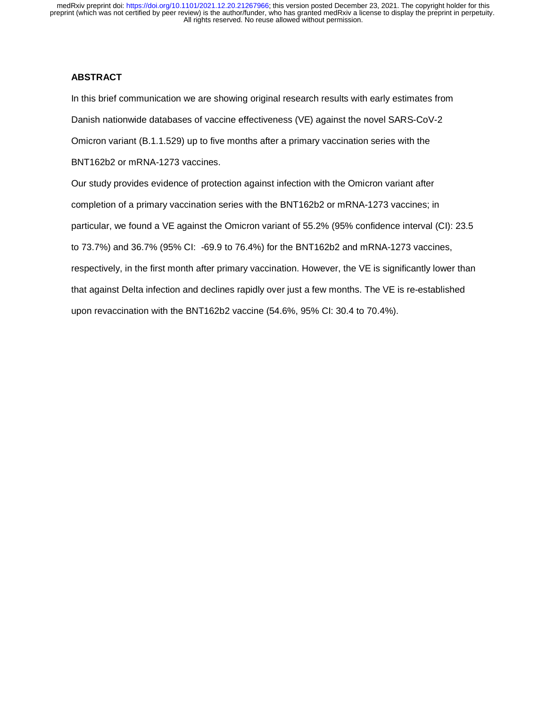### **ABSTRACT**

In this brief communication we are showing original research results with early estimates from Danish nationwide databases of vaccine effectiveness (VE) against the novel SARS-CoV-2 Omicron variant (B.1.1.529) up to five months after a primary vaccination series with the BNT162b2 or mRNA-1273 vaccines.

Our study provides evidence of protection against infection with the Omicron variant after completion of a primary vaccination series with the BNT162b2 or mRNA-1273 vaccines; in particular, we found a VE against the Omicron variant of 55.2% (95% confidence interval (CI): 23.5 to 73.7%) and 36.7% (95% CI: -69.9 to 76.4%) for the BNT162b2 and mRNA-1273 vaccines, respectively, in the first month after primary vaccination. However, the VE is significantly lower than that against Delta infection and declines rapidly over just a few months. The VE is re-established upon revaccination with the BNT162b2 vaccine (54.6%, 95% CI: 30.4 to 70.4%).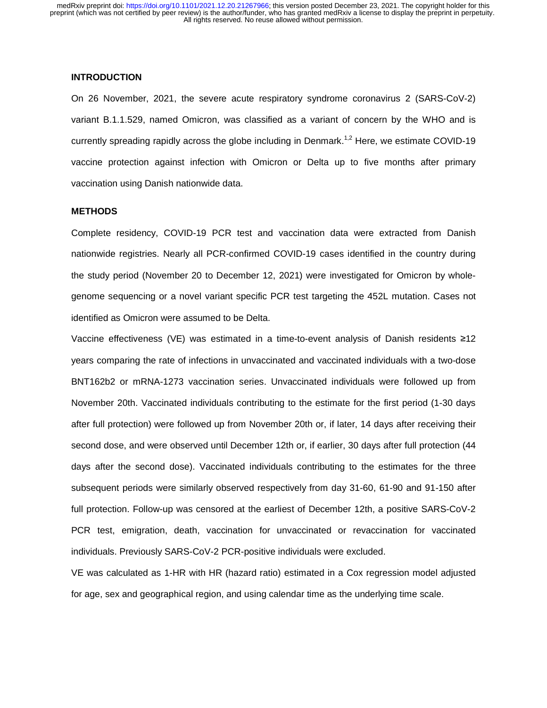#### **INTRODUCTION**

On 26 November, 2021, the severe acute respiratory syndrome coronavirus 2 (SARS-CoV-2) variant B.1.1.529, named Omicron, was classified as a variant of concern by the WHO and is currently spreading rapidly across the globe including in Denmark.<sup>1,2</sup> Here, we estimate COVID-19 vaccine protection against infection with Omicron or Delta up to five months after primary vaccination using Danish nationwide data.

## **METHODS**

Complete residency, COVID-19 PCR test and vaccination data were extracted from Danish nationwide registries. Nearly all PCR-confirmed COVID-19 cases identified in the country during the study period (November 20 to December 12, 2021) were investigated for Omicron by wholegenome sequencing or a novel variant specific PCR test targeting the 452L mutation. Cases not identified as Omicron were assumed to be Delta.

Vaccine effectiveness (VE) was estimated in a time-to-event analysis of Danish residents ≥<sup>12</sup> years comparing the rate of infections in unvaccinated and vaccinated individuals with a two-dose BNT162b2 or mRNA-1273 vaccination series. Unvaccinated individuals were followed up from November 20th. Vaccinated individuals contributing to the estimate for the first period (1-30 days after full protection) were followed up from November 20th or, if later, 14 days after receiving their second dose, and were observed until December 12th or, if earlier, 30 days after full protection (44 days after the second dose). Vaccinated individuals contributing to the estimates for the three subsequent periods were similarly observed respectively from day 31-60, 61-90 and 91-150 after full protection. Follow-up was censored at the earliest of December 12th, a positive SARS-CoV-2 PCR test, emigration, death, vaccination for unvaccinated or revaccination for vaccinated individuals. Previously SARS-CoV-2 PCR-positive individuals were excluded.

VE was calculated as 1-HR with HR (hazard ratio) estimated in a Cox regression model adjusted for age, sex and geographical region, and using calendar time as the underlying time scale.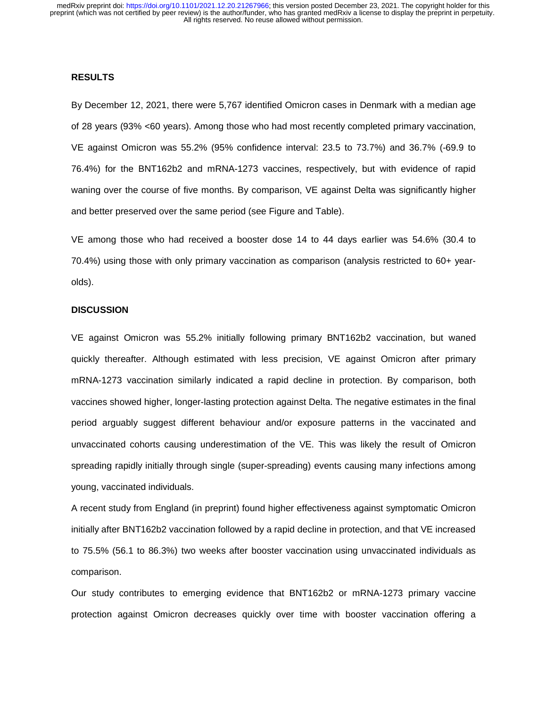#### **RESULTS**

By December 12, 2021, there were 5,767 identified Omicron cases in Denmark with a median age of 28 years (93% <60 years). Among those who had most recently completed primary vaccination, VE against Omicron was 55.2% (95% confidence interval: 23.5 to 73.7%) and 36.7% (-69.9 to 76.4%) for the BNT162b2 and mRNA-1273 vaccines, respectively, but with evidence of rapid waning over the course of five months. By comparison, VE against Delta was significantly higher and better preserved over the same period (see Figure and Table).

VE among those who had received a booster dose 14 to 44 days earlier was 54.6% (30.4 to 70.4%) using those with only primary vaccination as comparison (analysis restricted to 60+ yearolds).

### **DISCUSSION**

VE against Omicron was 55.2% initially following primary BNT162b2 vaccination, but waned quickly thereafter. Although estimated with less precision, VE against Omicron after primary mRNA-1273 vaccination similarly indicated a rapid decline in protection. By comparison, both vaccines showed higher, longer-lasting protection against Delta. The negative estimates in the final period arguably suggest different behaviour and/or exposure patterns in the vaccinated and unvaccinated cohorts causing underestimation of the VE. This was likely the result of Omicron spreading rapidly initially through single (super-spreading) events causing many infections among young, vaccinated individuals.

A recent study from England (in preprint) found higher effectiveness against symptomatic Omicron initially after BNT162b2 vaccination followed by a rapid decline in protection, and that VE increased to 75.5% (56.1 to 86.3%) two weeks after booster vaccination using unvaccinated individuals as comparison.

Our study contributes to emerging evidence that BNT162b2 or mRNA-1273 primary vaccine protection against Omicron decreases quickly over time with booster vaccination offering a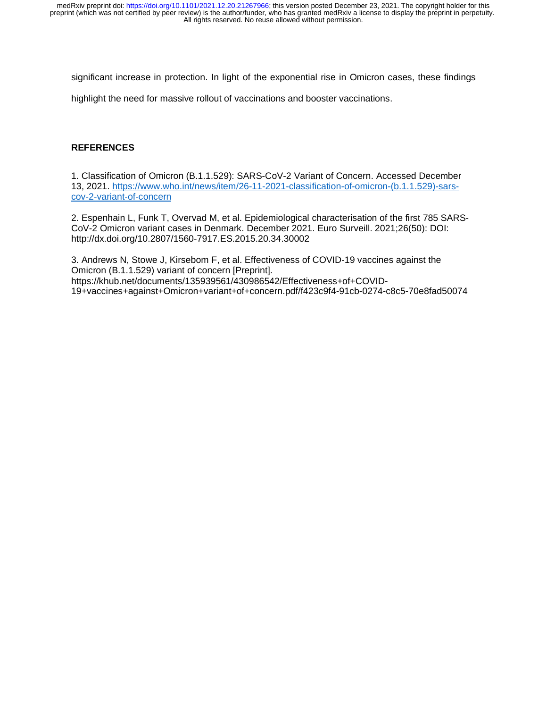significant increase in protection. In light of the exponential rise in Omicron cases, these findings

highlight the need for massive rollout of vaccinations and booster vaccinations.

# **REFERENCES**

1. Classification of Omicron (B.1.1.529): SARS-CoV-2 Variant of Concern. Accessed December 13, 2021. https://www.who.int/news/item/26-11-2021-classification-of-omicron-(b.1.1.529)-sarscov-2-variant-of-concern

2. Espenhain L, Funk T, Overvad M, et al. Epidemiological characterisation of the first 785 SARS-CoV-2 Omicron variant cases in Denmark. December 2021. Euro Surveill. 2021;26(50): DOI: http://dx.doi.org/10.2807/1560-7917.ES.2015.20.34.30002

3. Andrews N, Stowe J, Kirsebom F, et al. Effectiveness of COVID-19 vaccines against the Omicron (B.1.1.529) variant of concern [Preprint]. https://khub.net/documents/135939561/430986542/Effectiveness+of+COVID-19+vaccines+against+Omicron+variant+of+concern.pdf/f423c9f4-91cb-0274-c8c5-70e8fad50074